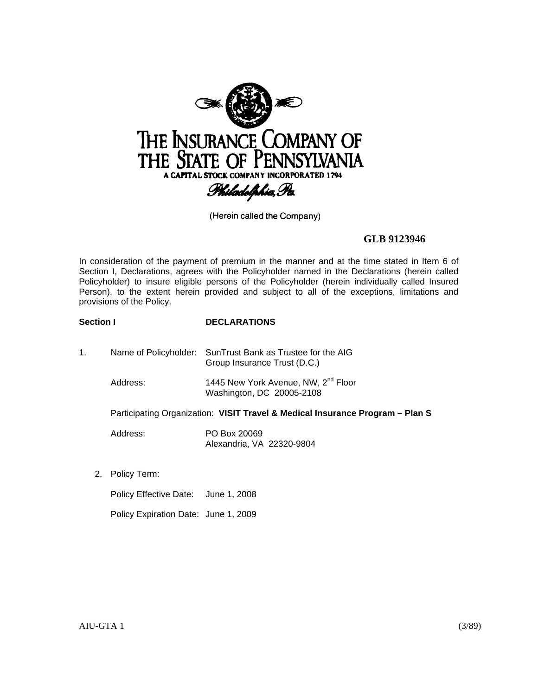

(Herein called the Company)

# **GLB 9123946**

In consideration of the payment of premium in the manner and at the time stated in Item 6 of Section I, Declarations, agrees with the Policyholder named in the Declarations (herein called Policyholder) to insure eligible persons of the Policyholder (herein individually called Insured Person), to the extent herein provided and subject to all of the exceptions, limitations and provisions of the Policy.

# Section I DECLARATIONS

- 1. Name of Policyholder: SunTrust Bank as Trustee for the AIG Group Insurance Trust (D.C.)
	- Address: 1445 New York Avenue, NW, 2<sup>nd</sup> Floor Washington, DC 20005-2108

Participating Organization: **VISIT Travel & Medical Insurance Program – Plan S**

 Address: PO Box 20069 Alexandria, VA 22320-9804

2. Policy Term:

Policy Effective Date: June 1, 2008

Policy Expiration Date: June 1, 2009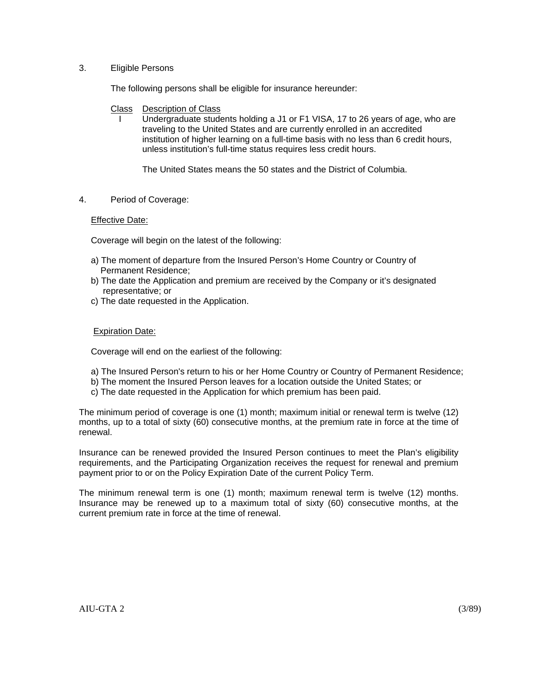3. Eligible Persons

The following persons shall be eligible for insurance hereunder:

# Class Description of Class

Undergraduate students holding a J1 or F1 VISA, 17 to 26 years of age, who are traveling to the United States and are currently enrolled in an accredited institution of higher learning on a full-time basis with no less than 6 credit hours, unless institution's full-time status requires less credit hours.

The United States means the 50 states and the District of Columbia.

4. Period of Coverage:

# Effective Date:

Coverage will begin on the latest of the following:

- a) The moment of departure from the Insured Person's Home Country or Country of Permanent Residence;
- b) The date the Application and premium are received by the Company or it's designated representative; or
- c) The date requested in the Application.

# Expiration Date:

Coverage will end on the earliest of the following:

- a) The Insured Person's return to his or her Home Country or Country of Permanent Residence;
- b) The moment the Insured Person leaves for a location outside the United States; or
- c) The date requested in the Application for which premium has been paid.

The minimum period of coverage is one (1) month; maximum initial or renewal term is twelve (12) months, up to a total of sixty (60) consecutive months, at the premium rate in force at the time of renewal.

Insurance can be renewed provided the Insured Person continues to meet the Plan's eligibility requirements, and the Participating Organization receives the request for renewal and premium payment prior to or on the Policy Expiration Date of the current Policy Term.

The minimum renewal term is one (1) month; maximum renewal term is twelve (12) months. Insurance may be renewed up to a maximum total of sixty (60) consecutive months, at the current premium rate in force at the time of renewal.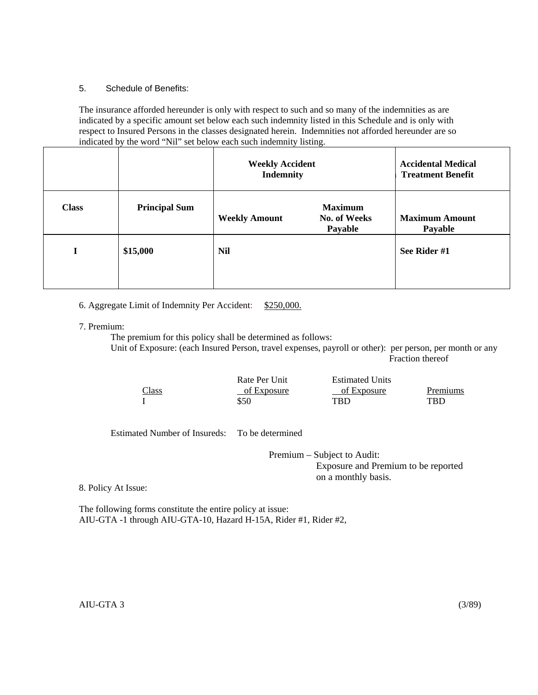# 5. Schedule of Benefits:

The insurance afforded hereunder is only with respect to such and so many of the indemnities as are indicated by a specific amount set below each such indemnity listed in this Schedule and is only with respect to Insured Persons in the classes designated herein. Indemnities not afforded hereunder are so indicated by the word "Nil" set below each such indemnity listing.

|              |                      | <b>Weekly Accident</b><br><b>Indemnity</b> |                                                  | <b>Accidental Medical</b><br><b>Treatment Benefit</b> |
|--------------|----------------------|--------------------------------------------|--------------------------------------------------|-------------------------------------------------------|
| <b>Class</b> | <b>Principal Sum</b> | <b>Weekly Amount</b>                       | <b>Maximum</b><br><b>No. of Weeks</b><br>Payable | <b>Maximum Amount</b><br>Payable                      |
|              | \$15,000             | <b>Nil</b>                                 |                                                  | See Rider #1                                          |

6. Aggregate Limit of Indemnity Per Accident: \$250,000.

## 7. Premium:

 The premium for this policy shall be determined as follows: Unit of Exposure: (each Insured Person, travel expenses, payroll or other): per person, per month or any

Fraction thereof

|                | Rate Per Unit | <b>Estimated Units</b> |                 |
|----------------|---------------|------------------------|-----------------|
| $\lfloor$ lass | of Exposure   | of Exposure            | <b>Premiums</b> |
|                | \$50          | TBD                    | TBD             |

Estimated Number of Insureds: To be determined

 Premium – Subject to Audit: Exposure and Premium to be reported on a monthly basis.

8. Policy At Issue:

The following forms constitute the entire policy at issue: AIU-GTA -1 through AIU-GTA-10, Hazard H-15A, Rider #1, Rider #2,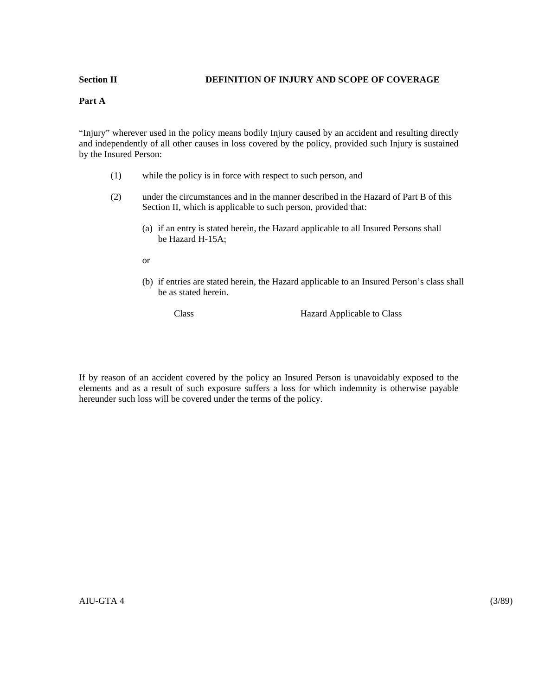# **Section II DEFINITION OF INJURY AND SCOPE OF COVERAGE**

# **Part A**

"Injury" wherever used in the policy means bodily Injury caused by an accident and resulting directly and independently of all other causes in loss covered by the policy, provided such Injury is sustained by the Insured Person:

- (1) while the policy is in force with respect to such person, and
- (2) under the circumstances and in the manner described in the Hazard of Part B of this Section II, which is applicable to such person, provided that:
	- (a) if an entry is stated herein, the Hazard applicable to all Insured Persons shall be Hazard H-15A;

or

(b) if entries are stated herein, the Hazard applicable to an Insured Person's class shall be as stated herein.

Class Hazard Applicable to Class

If by reason of an accident covered by the policy an Insured Person is unavoidably exposed to the elements and as a result of such exposure suffers a loss for which indemnity is otherwise payable hereunder such loss will be covered under the terms of the policy.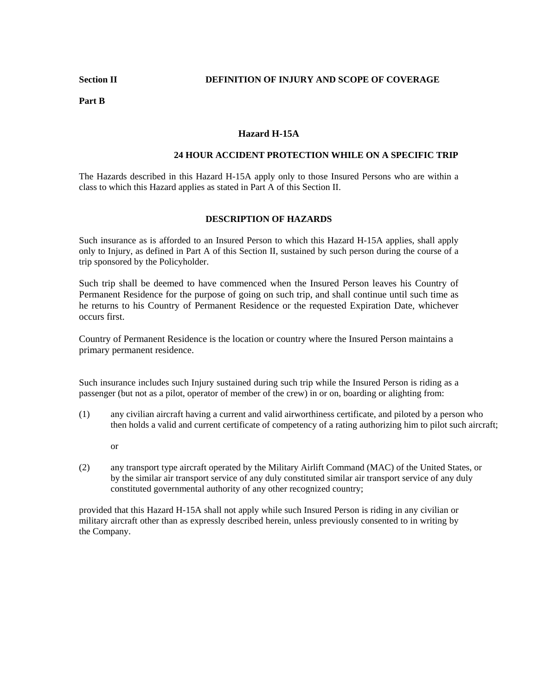**Part B** 

# **Hazard H-15A**

## **24 HOUR ACCIDENT PROTECTION WHILE ON A SPECIFIC TRIP**

The Hazards described in this Hazard H-15A apply only to those Insured Persons who are within a class to which this Hazard applies as stated in Part A of this Section II.

# **DESCRIPTION OF HAZARDS**

Such insurance as is afforded to an Insured Person to which this Hazard H-15A applies, shall apply only to Injury, as defined in Part A of this Section II, sustained by such person during the course of a trip sponsored by the Policyholder.

Such trip shall be deemed to have commenced when the Insured Person leaves his Country of Permanent Residence for the purpose of going on such trip, and shall continue until such time as he returns to his Country of Permanent Residence or the requested Expiration Date, whichever occurs first.

Country of Permanent Residence is the location or country where the Insured Person maintains a primary permanent residence.

Such insurance includes such Injury sustained during such trip while the Insured Person is riding as a passenger (but not as a pilot, operator of member of the crew) in or on, boarding or alighting from:

- (1) any civilian aircraft having a current and valid airworthiness certificate, and piloted by a person who then holds a valid and current certificate of competency of a rating authorizing him to pilot such aircraft;
	- or
- (2) any transport type aircraft operated by the Military Airlift Command (MAC) of the United States, or by the similar air transport service of any duly constituted similar air transport service of any duly constituted governmental authority of any other recognized country;

provided that this Hazard H-15A shall not apply while such Insured Person is riding in any civilian or military aircraft other than as expressly described herein, unless previously consented to in writing by the Company.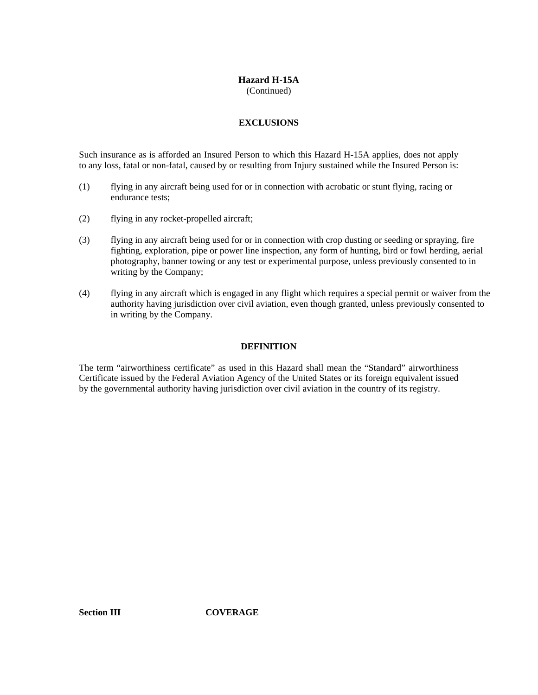# **Hazard H-15A**

(Continued)

# **EXCLUSIONS**

Such insurance as is afforded an Insured Person to which this Hazard H-15A applies, does not apply to any loss, fatal or non-fatal, caused by or resulting from Injury sustained while the Insured Person is:

- (1) flying in any aircraft being used for or in connection with acrobatic or stunt flying, racing or endurance tests;
- (2) flying in any rocket-propelled aircraft;
- (3) flying in any aircraft being used for or in connection with crop dusting or seeding or spraying, fire fighting, exploration, pipe or power line inspection, any form of hunting, bird or fowl herding, aerial photography, banner towing or any test or experimental purpose, unless previously consented to in writing by the Company;
- (4) flying in any aircraft which is engaged in any flight which requires a special permit or waiver from the authority having jurisdiction over civil aviation, even though granted, unless previously consented to in writing by the Company.

### **DEFINITION**

The term "airworthiness certificate" as used in this Hazard shall mean the "Standard" airworthiness Certificate issued by the Federal Aviation Agency of the United States or its foreign equivalent issued by the governmental authority having jurisdiction over civil aviation in the country of its registry.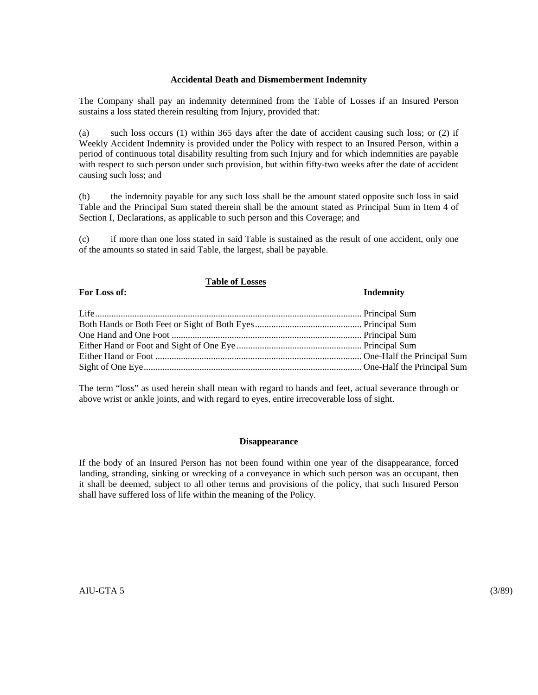## **Accidental Death and Dismemberment Indemnity**

The Company shall pay an indemnity determined from the Table of Losses if an Insured Person sustains a loss stated therein resulting from Injury, provided that:

(a) such loss occurs (1) within 365 days after the date of accident causing such loss; or (2) if Weekly Accident Indemnity is provided under the Policy with respect to an Insured Person, within a period of continuous total disability resulting from such Injury and for which indemnities are payable with respect to such person under such provision, but within fifty-two weeks after the date of accident causing such loss; and

(b) the indemnity payable for any such loss shall be the amount stated opposite such loss in said Table and the Principal Sum stated therein shall be the amount stated as Principal Sum in Item 4 of Section I, Declarations, as applicable to such person and this Coverage; and

(c) if more than one loss stated in said Table is sustained as the result of one accident, only one of the amounts so stated in said Table, the largest, shall be payable.

# **Table of Losses**

## **For Loss of:** Indemnity

Life................................................................................................................... Principal Sum Both Hands or Both Feet or Sight of Both Eyes.............................................. Principal Sum One Hand and One Foot .................................................................................. Principal Sum Either Hand or Foot and Sight of One Eye ...................................................... Principal Sum Either Hand or Foot ......................................................................................... One-Half the Principal Sum Sight of One Eye.............................................................................................. One-Half the Principal Sum

The term "loss" as used herein shall mean with regard to hands and feet, actual severance through or above wrist or ankle joints, and with regard to eyes, entire irrecoverable loss of sight.

## **Disappearance**

If the body of an Insured Person has not been found within one year of the disappearance, forced landing, stranding, sinking or wrecking of a conveyance in which such person was an occupant, then it shall be deemed, subject to all other terms and provisions of the policy, that such Insured Person shall have suffered loss of life within the meaning of the Policy.

 $\rm{AU-GTA}$  5 (3/89)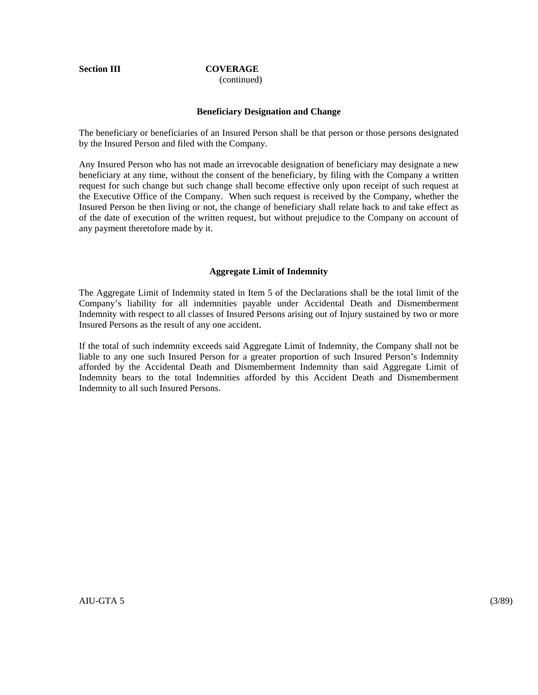### **Section III COVERAGE**

(continued)

## **Beneficiary Designation and Change**

The beneficiary or beneficiaries of an Insured Person shall be that person or those persons designated by the Insured Person and filed with the Company.

Any Insured Person who has not made an irrevocable designation of beneficiary may designate a new beneficiary at any time, without the consent of the beneficiary, by filing with the Company a written request for such change but such change shall become effective only upon receipt of such request at the Executive Office of the Company. When such request is received by the Company, whether the Insured Person be then living or not, the change of beneficiary shall relate back to and take effect as of the date of execution of the written request, but without prejudice to the Company on account of any payment theretofore made by it.

# **Aggregate Limit of Indemnity**

The Aggregate Limit of Indemnity stated in Item 5 of the Declarations shall be the total limit of the Company's liability for all indemnities payable under Accidental Death and Dismemberment Indemnity with respect to all classes of Insured Persons arising out of Injury sustained by two or more Insured Persons as the result of any one accident.

If the total of such indemnity exceeds said Aggregate Limit of Indemnity, the Company shall not be liable to any one such Insured Person for a greater proportion of such Insured Person's Indemnity afforded by the Accidental Death and Dismemberment Indemnity than said Aggregate Limit of Indemnity bears to the total Indemnities afforded by this Accident Death and Dismemberment Indemnity to all such Insured Persons.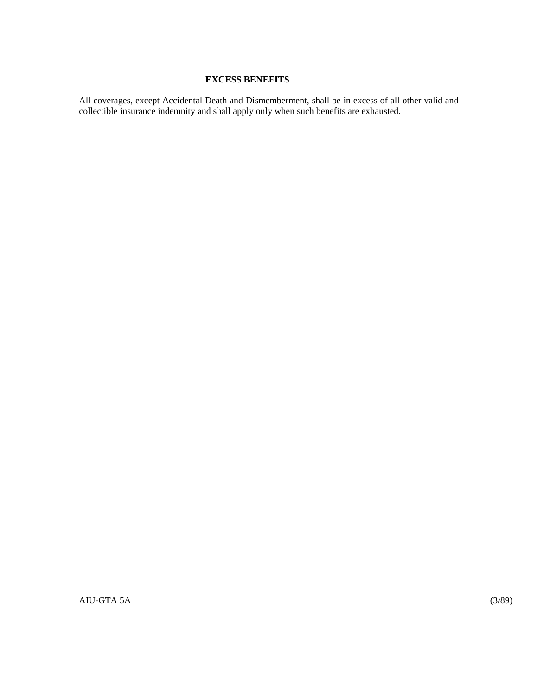# **EXCESS BENEFITS**

All coverages, except Accidental Death and Dismemberment, shall be in excess of all other valid and collectible insurance indemnity and shall apply only when such benefits are exhausted.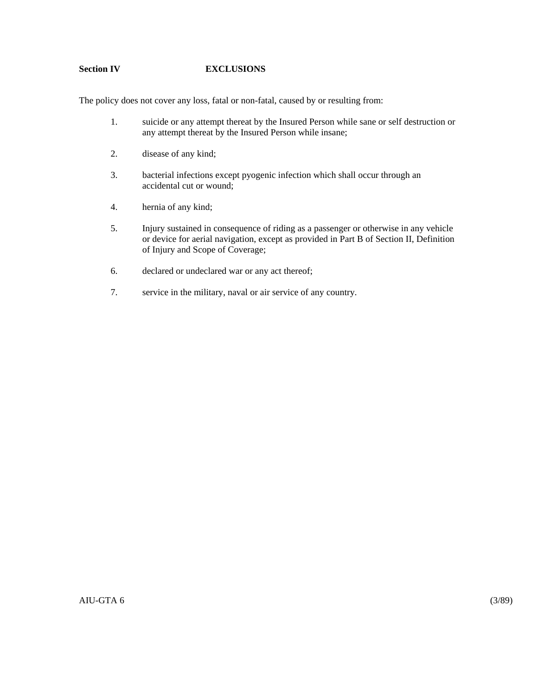# **Section IV EXCLUSIONS**

The policy does not cover any loss, fatal or non-fatal, caused by or resulting from:

- 1. suicide or any attempt thereat by the Insured Person while sane or self destruction or any attempt thereat by the Insured Person while insane;
- 2. disease of any kind;
- 3. bacterial infections except pyogenic infection which shall occur through an accidental cut or wound;
- 4. hernia of any kind;
- 5. Injury sustained in consequence of riding as a passenger or otherwise in any vehicle or device for aerial navigation, except as provided in Part B of Section II, Definition of Injury and Scope of Coverage;
- 6. declared or undeclared war or any act thereof;
- 7. service in the military, naval or air service of any country.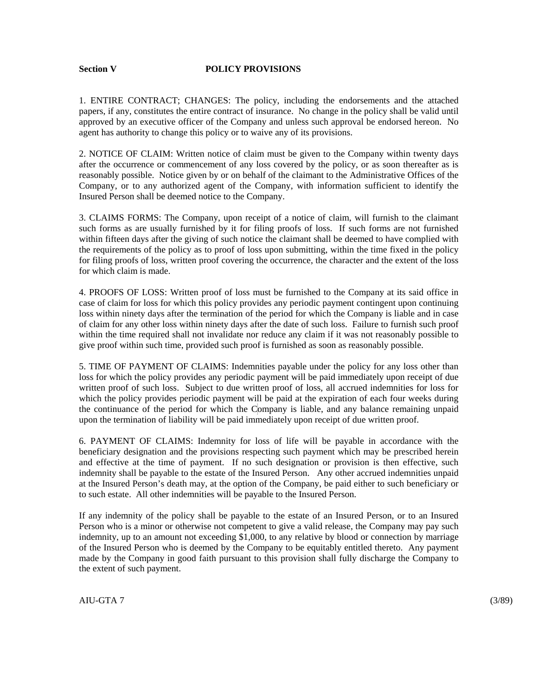#### **Section V POLICY PROVISIONS**

1. ENTIRE CONTRACT; CHANGES: The policy, including the endorsements and the attached papers, if any, constitutes the entire contract of insurance. No change in the policy shall be valid until approved by an executive officer of the Company and unless such approval be endorsed hereon. No agent has authority to change this policy or to waive any of its provisions.

2. NOTICE OF CLAIM: Written notice of claim must be given to the Company within twenty days after the occurrence or commencement of any loss covered by the policy, or as soon thereafter as is reasonably possible. Notice given by or on behalf of the claimant to the Administrative Offices of the Company, or to any authorized agent of the Company, with information sufficient to identify the Insured Person shall be deemed notice to the Company.

3. CLAIMS FORMS: The Company, upon receipt of a notice of claim, will furnish to the claimant such forms as are usually furnished by it for filing proofs of loss. If such forms are not furnished within fifteen days after the giving of such notice the claimant shall be deemed to have complied with the requirements of the policy as to proof of loss upon submitting, within the time fixed in the policy for filing proofs of loss, written proof covering the occurrence, the character and the extent of the loss for which claim is made.

4. PROOFS OF LOSS: Written proof of loss must be furnished to the Company at its said office in case of claim for loss for which this policy provides any periodic payment contingent upon continuing loss within ninety days after the termination of the period for which the Company is liable and in case of claim for any other loss within ninety days after the date of such loss. Failure to furnish such proof within the time required shall not invalidate nor reduce any claim if it was not reasonably possible to give proof within such time, provided such proof is furnished as soon as reasonably possible.

5. TIME OF PAYMENT OF CLAIMS: Indemnities payable under the policy for any loss other than loss for which the policy provides any periodic payment will be paid immediately upon receipt of due written proof of such loss. Subject to due written proof of loss, all accrued indemnities for loss for which the policy provides periodic payment will be paid at the expiration of each four weeks during the continuance of the period for which the Company is liable, and any balance remaining unpaid upon the termination of liability will be paid immediately upon receipt of due written proof.

6. PAYMENT OF CLAIMS: Indemnity for loss of life will be payable in accordance with the beneficiary designation and the provisions respecting such payment which may be prescribed herein and effective at the time of payment. If no such designation or provision is then effective, such indemnity shall be payable to the estate of the Insured Person. Any other accrued indemnities unpaid at the Insured Person's death may, at the option of the Company, be paid either to such beneficiary or to such estate. All other indemnities will be payable to the Insured Person.

If any indemnity of the policy shall be payable to the estate of an Insured Person, or to an Insured Person who is a minor or otherwise not competent to give a valid release, the Company may pay such indemnity, up to an amount not exceeding \$1,000, to any relative by blood or connection by marriage of the Insured Person who is deemed by the Company to be equitably entitled thereto. Any payment made by the Company in good faith pursuant to this provision shall fully discharge the Company to the extent of such payment.

 $\rm{AU-GTA}$  7 (3/89)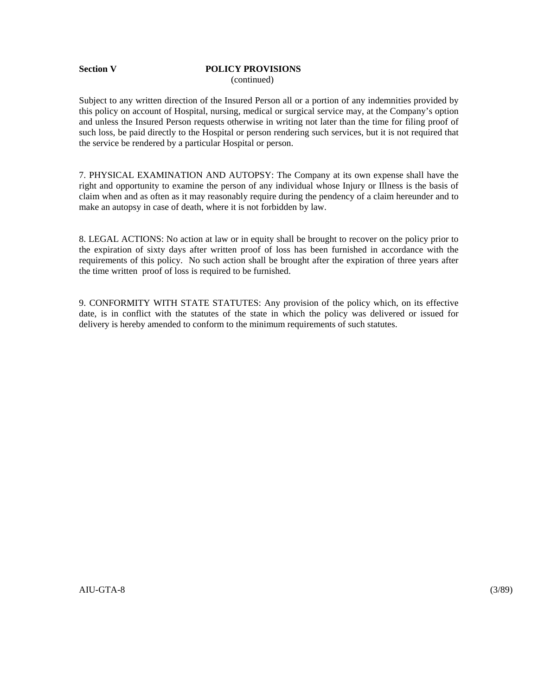# **Section V POLICY PROVISIONS**

(continued)

Subject to any written direction of the Insured Person all or a portion of any indemnities provided by this policy on account of Hospital, nursing, medical or surgical service may, at the Company's option and unless the Insured Person requests otherwise in writing not later than the time for filing proof of such loss, be paid directly to the Hospital or person rendering such services, but it is not required that the service be rendered by a particular Hospital or person.

7. PHYSICAL EXAMINATION AND AUTOPSY: The Company at its own expense shall have the right and opportunity to examine the person of any individual whose Injury or Illness is the basis of claim when and as often as it may reasonably require during the pendency of a claim hereunder and to make an autopsy in case of death, where it is not forbidden by law.

8. LEGAL ACTIONS: No action at law or in equity shall be brought to recover on the policy prior to the expiration of sixty days after written proof of loss has been furnished in accordance with the requirements of this policy. No such action shall be brought after the expiration of three years after the time written proof of loss is required to be furnished.

9. CONFORMITY WITH STATE STATUTES: Any provision of the policy which, on its effective date, is in conflict with the statutes of the state in which the policy was delivered or issued for delivery is hereby amended to conform to the minimum requirements of such statutes.

AIU-GTA-8 (3/89)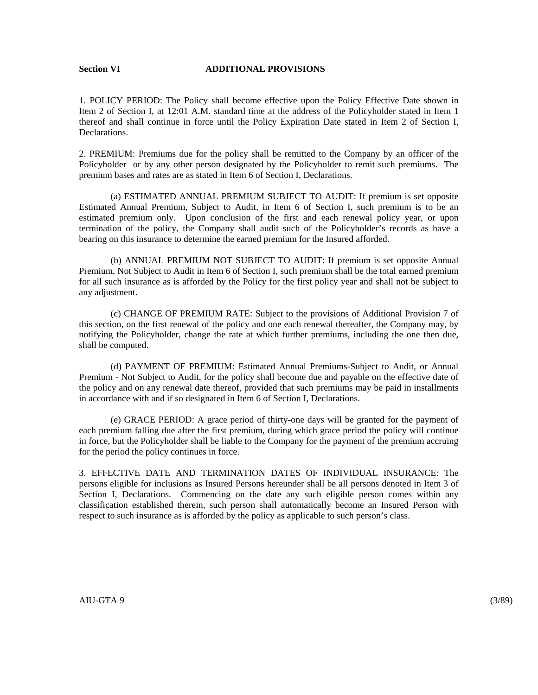### **Section VI ADDITIONAL PROVISIONS**

1. POLICY PERIOD: The Policy shall become effective upon the Policy Effective Date shown in Item 2 of Section I, at 12:01 A.M. standard time at the address of the Policyholder stated in Item 1 thereof and shall continue in force until the Policy Expiration Date stated in Item 2 of Section I, Declarations.

2. PREMIUM: Premiums due for the policy shall be remitted to the Company by an officer of the Policyholder or by any other person designated by the Policyholder to remit such premiums. The premium bases and rates are as stated in Item 6 of Section I, Declarations.

(a) ESTIMATED ANNUAL PREMIUM SUBJECT TO AUDIT: If premium is set opposite Estimated Annual Premium, Subject to Audit, in Item 6 of Section I, such premium is to be an estimated premium only. Upon conclusion of the first and each renewal policy year, or upon termination of the policy, the Company shall audit such of the Policyholder's records as have a bearing on this insurance to determine the earned premium for the Insured afforded.

(b) ANNUAL PREMIUM NOT SUBJECT TO AUDIT: If premium is set opposite Annual Premium, Not Subject to Audit in Item 6 of Section I, such premium shall be the total earned premium for all such insurance as is afforded by the Policy for the first policy year and shall not be subject to any adjustment.

(c) CHANGE OF PREMIUM RATE: Subject to the provisions of Additional Provision 7 of this section, on the first renewal of the policy and one each renewal thereafter, the Company may, by notifying the Policyholder, change the rate at which further premiums, including the one then due, shall be computed.

(d) PAYMENT OF PREMIUM: Estimated Annual Premiums-Subject to Audit, or Annual Premium - Not Subject to Audit, for the policy shall become due and payable on the effective date of the policy and on any renewal date thereof, provided that such premiums may be paid in installments in accordance with and if so designated in Item 6 of Section I, Declarations.

(e) GRACE PERIOD: A grace period of thirty-one days will be granted for the payment of each premium falling due after the first premium, during which grace period the policy will continue in force, but the Policyholder shall be liable to the Company for the payment of the premium accruing for the period the policy continues in force.

3. EFFECTIVE DATE AND TERMINATION DATES OF INDIVIDUAL INSURANCE: The persons eligible for inclusions as Insured Persons hereunder shall be all persons denoted in Item 3 of Section I, Declarations. Commencing on the date any such eligible person comes within any classification established therein, such person shall automatically become an Insured Person with respect to such insurance as is afforded by the policy as applicable to such person's class.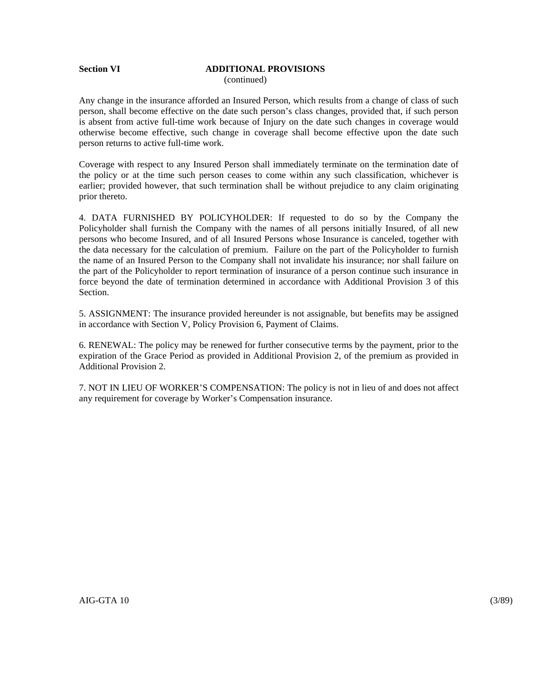#### **Section VI ADDITIONAL PROVISIONS**  (continued)

Any change in the insurance afforded an Insured Person, which results from a change of class of such person, shall become effective on the date such person's class changes, provided that, if such person is absent from active full-time work because of Injury on the date such changes in coverage would otherwise become effective, such change in coverage shall become effective upon the date such person returns to active full-time work.

Coverage with respect to any Insured Person shall immediately terminate on the termination date of the policy or at the time such person ceases to come within any such classification, whichever is earlier; provided however, that such termination shall be without prejudice to any claim originating prior thereto.

4. DATA FURNISHED BY POLICYHOLDER: If requested to do so by the Company the Policyholder shall furnish the Company with the names of all persons initially Insured, of all new persons who become Insured, and of all Insured Persons whose Insurance is canceled, together with the data necessary for the calculation of premium. Failure on the part of the Policyholder to furnish the name of an Insured Person to the Company shall not invalidate his insurance; nor shall failure on the part of the Policyholder to report termination of insurance of a person continue such insurance in force beyond the date of termination determined in accordance with Additional Provision 3 of this Section.

5. ASSIGNMENT: The insurance provided hereunder is not assignable, but benefits may be assigned in accordance with Section V, Policy Provision 6, Payment of Claims.

6. RENEWAL: The policy may be renewed for further consecutive terms by the payment, prior to the expiration of the Grace Period as provided in Additional Provision 2, of the premium as provided in Additional Provision 2.

7. NOT IN LIEU OF WORKER'S COMPENSATION: The policy is not in lieu of and does not affect any requirement for coverage by Worker's Compensation insurance.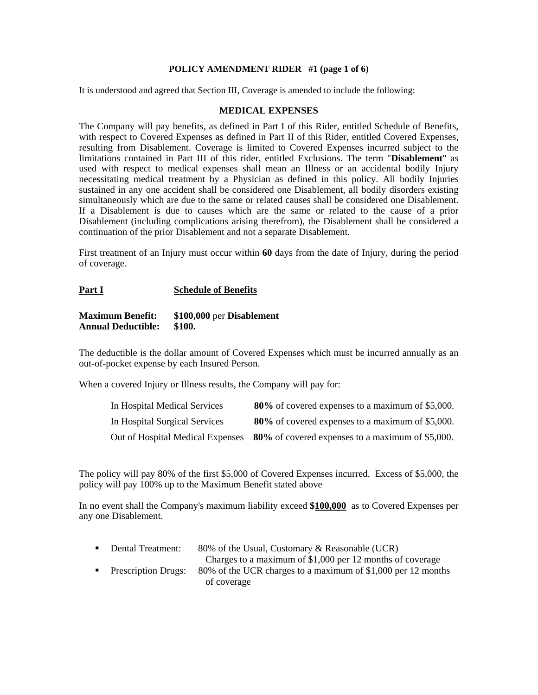## **POLICY AMENDMENT RIDER #1 (page 1 of 6)**

It is understood and agreed that Section III, Coverage is amended to include the following:

## **MEDICAL EXPENSES**

The Company will pay benefits, as defined in Part I of this Rider, entitled Schedule of Benefits, with respect to Covered Expenses as defined in Part II of this Rider, entitled Covered Expenses, resulting from Disablement. Coverage is limited to Covered Expenses incurred subject to the limitations contained in Part III of this rider, entitled Exclusions. The term "**Disablement**" as used with respect to medical expenses shall mean an Illness or an accidental bodily Injury necessitating medical treatment by a Physician as defined in this policy. All bodily Injuries sustained in any one accident shall be considered one Disablement, all bodily disorders existing simultaneously which are due to the same or related causes shall be considered one Disablement. If a Disablement is due to causes which are the same or related to the cause of a prior Disablement (including complications arising therefrom), the Disablement shall be considered a continuation of the prior Disablement and not a separate Disablement.

First treatment of an Injury must occur within **60** days from the date of Injury, during the period of coverage.

# **Part I** Schedule of Benefits

# **Maximum Benefit: \$100,000** per **Disablement Annual Deductible: \$100.**

The deductible is the dollar amount of Covered Expenses which must be incurred annually as an out-of-pocket expense by each Insured Person.

When a covered Injury or Illness results, the Company will pay for:

| In Hospital Medical Services     | 80% of covered expenses to a maximum of \$5,000.        |
|----------------------------------|---------------------------------------------------------|
| In Hospital Surgical Services    | 80% of covered expenses to a maximum of \$5,000.        |
| Out of Hospital Medical Expenses | <b>80%</b> of covered expenses to a maximum of \$5,000. |

The policy will pay 80% of the first \$5,000 of Covered Expenses incurred. Excess of \$5,000, the policy will pay 100% up to the Maximum Benefit stated above

In no event shall the Company's maximum liability exceed **\$100,000** as to Covered Expenses per any one Disablement.

| • Dental Treatment:   | 80% of the Usual, Customary & Reasonable (UCR)               |
|-----------------------|--------------------------------------------------------------|
|                       | Charges to a maximum of $$1,000$ per 12 months of coverage   |
| • Prescription Drugs: | 80% of the UCR charges to a maximum of \$1,000 per 12 months |
|                       | of coverage                                                  |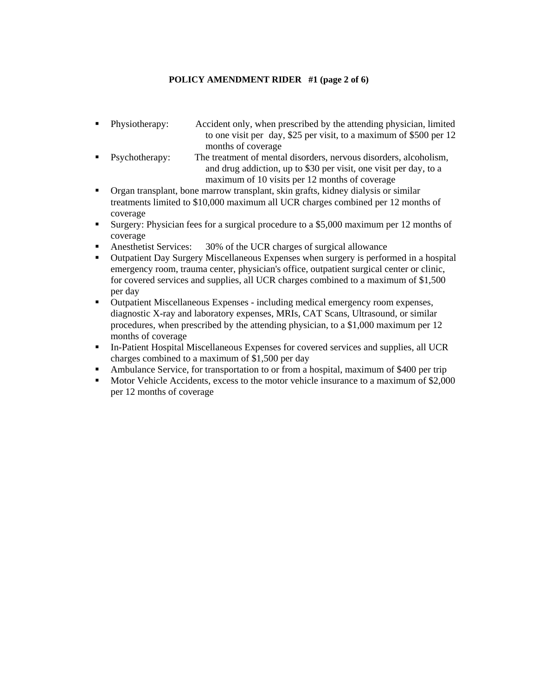# **POLICY AMENDMENT RIDER #1 (page 2 of 6)**

- Physiotherapy: Accident only, when prescribed by the attending physician, limited to one visit per day, \$25 per visit, to a maximum of \$500 per 12 months of coverage
- Psychotherapy: The treatment of mental disorders, nervous disorders, alcoholism, and drug addiction, up to \$30 per visit, one visit per day, to a maximum of 10 visits per 12 months of coverage
- Organ transplant, bone marrow transplant, skin grafts, kidney dialysis or similar treatments limited to \$10,000 maximum all UCR charges combined per 12 months of coverage
- Surgery: Physician fees for a surgical procedure to a \$5,000 maximum per 12 months of coverage
- Anesthetist Services: 30% of the UCR charges of surgical allowance
- Outpatient Day Surgery Miscellaneous Expenses when surgery is performed in a hospital emergency room, trauma center, physician's office, outpatient surgical center or clinic, for covered services and supplies, all UCR charges combined to a maximum of \$1,500 per day
- Outpatient Miscellaneous Expenses including medical emergency room expenses, diagnostic X-ray and laboratory expenses, MRIs, CAT Scans, Ultrasound, or similar procedures, when prescribed by the attending physician, to a \$1,000 maximum per 12 months of coverage
- **In-Patient Hospital Miscellaneous Expenses for covered services and supplies, all UCR** charges combined to a maximum of \$1,500 per day
- Ambulance Service, for transportation to or from a hospital, maximum of \$400 per trip
- **Motor Vehicle Accidents, excess to the motor vehicle insurance to a maximum of \$2,000** per 12 months of coverage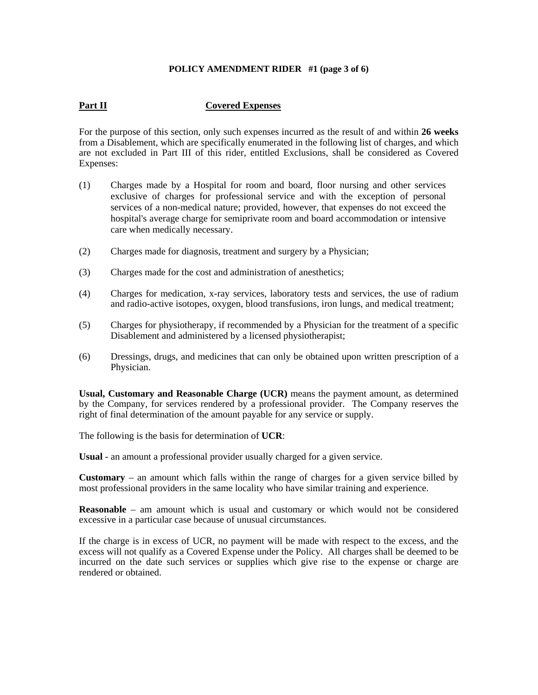## **POLICY AMENDMENT RIDER #1 (page 3 of 6)**

# **Part II Covered Expenses**

For the purpose of this section, only such expenses incurred as the result of and within **26 weeks**  from a Disablement, which are specifically enumerated in the following list of charges, and which are not excluded in Part III of this rider, entitled Exclusions, shall be considered as Covered Expenses:

- (1) Charges made by a Hospital for room and board, floor nursing and other services exclusive of charges for professional service and with the exception of personal services of a non-medical nature; provided, however, that expenses do not exceed the hospital's average charge for semiprivate room and board accommodation or intensive care when medically necessary.
- (2) Charges made for diagnosis, treatment and surgery by a Physician;
- (3) Charges made for the cost and administration of anesthetics;
- (4) Charges for medication, x-ray services, laboratory tests and services, the use of radium and radio-active isotopes, oxygen, blood transfusions, iron lungs, and medical treatment;
- (5) Charges for physiotherapy, if recommended by a Physician for the treatment of a specific Disablement and administered by a licensed physiotherapist;
- (6) Dressings, drugs, and medicines that can only be obtained upon written prescription of a Physician.

**Usual, Customary and Reasonable Charge (UCR)** means the payment amount, as determined by the Company, for services rendered by a professional provider. The Company reserves the right of final determination of the amount payable for any service or supply.

The following is the basis for determination of **UCR**:

**Usual** - an amount a professional provider usually charged for a given service.

**Customary** – an amount which falls within the range of charges for a given service billed by most professional providers in the same locality who have similar training and experience.

**Reasonable** – am amount which is usual and customary or which would not be considered excessive in a particular case because of unusual circumstances.

If the charge is in excess of UCR, no payment will be made with respect to the excess, and the excess will not qualify as a Covered Expense under the Policy. All charges shall be deemed to be incurred on the date such services or supplies which give rise to the expense or charge are rendered or obtained.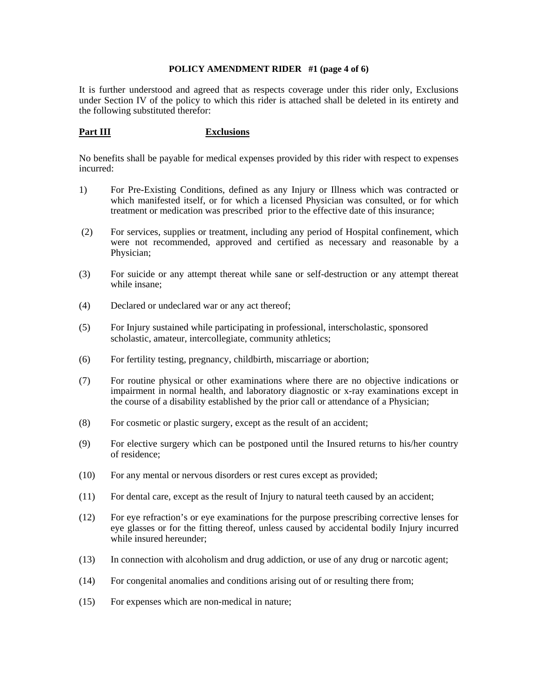### **POLICY AMENDMENT RIDER #1 (page 4 of 6)**

It is further understood and agreed that as respects coverage under this rider only, Exclusions under Section IV of the policy to which this rider is attached shall be deleted in its entirety and the following substituted therefor:

# **Part III Exclusions**

No benefits shall be payable for medical expenses provided by this rider with respect to expenses incurred:

- 1) For Pre-Existing Conditions, defined as any Injury or Illness which was contracted or which manifested itself, or for which a licensed Physician was consulted, or for which treatment or medication was prescribed prior to the effective date of this insurance;
- (2) For services, supplies or treatment, including any period of Hospital confinement, which were not recommended, approved and certified as necessary and reasonable by a Physician;
- (3) For suicide or any attempt thereat while sane or self-destruction or any attempt thereat while insane;
- (4) Declared or undeclared war or any act thereof;
- (5) For Injury sustained while participating in professional, interscholastic, sponsored scholastic, amateur, intercollegiate, community athletics;
- (6) For fertility testing, pregnancy, childbirth, miscarriage or abortion;
- (7) For routine physical or other examinations where there are no objective indications or impairment in normal health, and laboratory diagnostic or x-ray examinations except in the course of a disability established by the prior call or attendance of a Physician;
- (8) For cosmetic or plastic surgery, except as the result of an accident;
- (9) For elective surgery which can be postponed until the Insured returns to his/her country of residence;
- (10) For any mental or nervous disorders or rest cures except as provided;
- (11) For dental care, except as the result of Injury to natural teeth caused by an accident;
- (12) For eye refraction's or eye examinations for the purpose prescribing corrective lenses for eye glasses or for the fitting thereof, unless caused by accidental bodily Injury incurred while insured hereunder;
- (13) In connection with alcoholism and drug addiction, or use of any drug or narcotic agent;
- (14) For congenital anomalies and conditions arising out of or resulting there from;
- (15) For expenses which are non-medical in nature;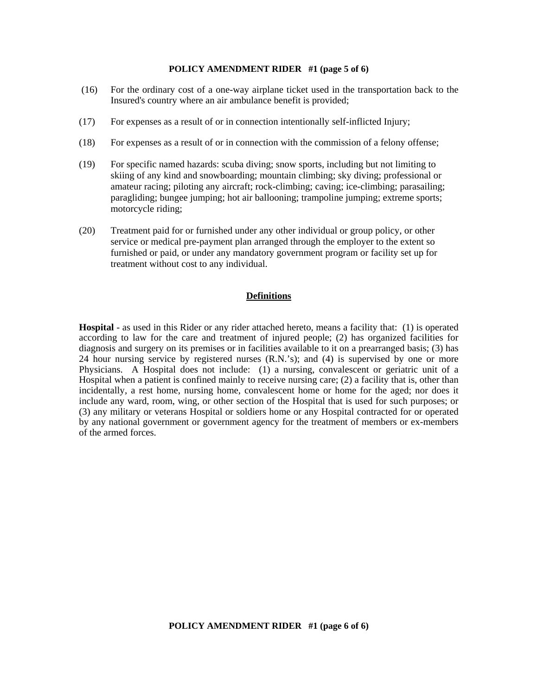#### **POLICY AMENDMENT RIDER #1 (page 5 of 6)**

- (16) For the ordinary cost of a one-way airplane ticket used in the transportation back to the Insured's country where an air ambulance benefit is provided;
- (17) For expenses as a result of or in connection intentionally self-inflicted Injury;
- (18) For expenses as a result of or in connection with the commission of a felony offense;
- (19) For specific named hazards: scuba diving; snow sports, including but not limiting to skiing of any kind and snowboarding; mountain climbing; sky diving; professional or amateur racing; piloting any aircraft; rock-climbing; caving; ice-climbing; parasailing; paragliding; bungee jumping; hot air ballooning; trampoline jumping; extreme sports; motorcycle riding;
- (20) Treatment paid for or furnished under any other individual or group policy, or other service or medical pre-payment plan arranged through the employer to the extent so furnished or paid, or under any mandatory government program or facility set up for treatment without cost to any individual.

### **Definitions**

**Hospital** - as used in this Rider or any rider attached hereto, means a facility that: (1) is operated according to law for the care and treatment of injured people; (2) has organized facilities for diagnosis and surgery on its premises or in facilities available to it on a prearranged basis; (3) has 24 hour nursing service by registered nurses (R.N.'s); and (4) is supervised by one or more Physicians. A Hospital does not include: (1) a nursing, convalescent or geriatric unit of a Hospital when a patient is confined mainly to receive nursing care; (2) a facility that is, other than incidentally, a rest home, nursing home, convalescent home or home for the aged; nor does it include any ward, room, wing, or other section of the Hospital that is used for such purposes; or (3) any military or veterans Hospital or soldiers home or any Hospital contracted for or operated by any national government or government agency for the treatment of members or ex-members of the armed forces.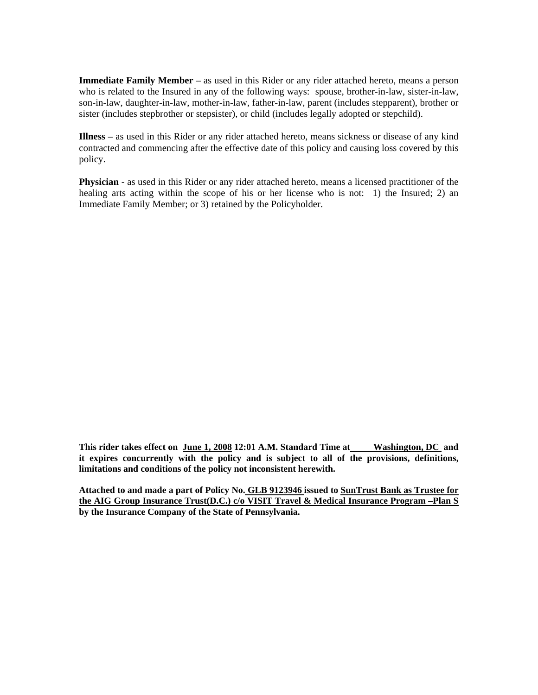**Immediate Family Member** – as used in this Rider or any rider attached hereto, means a person who is related to the Insured in any of the following ways: spouse, brother-in-law, sister-in-law, son-in-law, daughter-in-law, mother-in-law, father-in-law, parent (includes stepparent), brother or sister (includes stepbrother or stepsister), or child (includes legally adopted or stepchild).

**Illness** – as used in this Rider or any rider attached hereto, means sickness or disease of any kind contracted and commencing after the effective date of this policy and causing loss covered by this policy.

**Physician** - as used in this Rider or any rider attached hereto, means a licensed practitioner of the healing arts acting within the scope of his or her license who is not: 1) the Insured; 2) an Immediate Family Member; or 3) retained by the Policyholder.

This rider takes effect on June 1, 2008 12:01 A.M. Standard Time at Washington, DC and **it expires concurrently with the policy and is subject to all of the provisions, definitions, limitations and conditions of the policy not inconsistent herewith.** 

**Attached to and made a part of Policy No. GLB 9123946 issued to SunTrust Bank as Trustee for the AIG Group Insurance Trust(D.C.) c/o VISIT Travel & Medical Insurance Program –Plan S by the Insurance Company of the State of Pennsylvania.**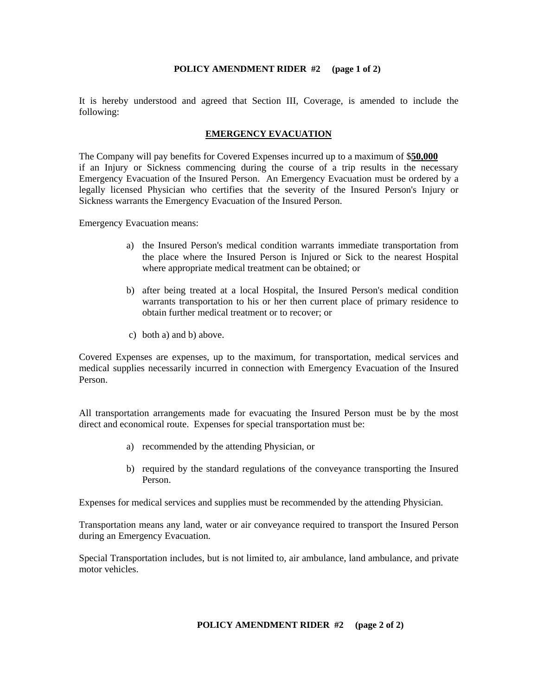# **POLICY AMENDMENT RIDER #2 (page 1 of 2)**

It is hereby understood and agreed that Section III, Coverage, is amended to include the following:

# **EMERGENCY EVACUATION**

The Company will pay benefits for Covered Expenses incurred up to a maximum of \$**50,000** if an Injury or Sickness commencing during the course of a trip results in the necessary Emergency Evacuation of the Insured Person. An Emergency Evacuation must be ordered by a legally licensed Physician who certifies that the severity of the Insured Person's Injury or Sickness warrants the Emergency Evacuation of the Insured Person.

Emergency Evacuation means:

- a) the Insured Person's medical condition warrants immediate transportation from the place where the Insured Person is Injured or Sick to the nearest Hospital where appropriate medical treatment can be obtained; or
- b) after being treated at a local Hospital, the Insured Person's medical condition warrants transportation to his or her then current place of primary residence to obtain further medical treatment or to recover; or
- c) both a) and b) above.

Covered Expenses are expenses, up to the maximum, for transportation, medical services and medical supplies necessarily incurred in connection with Emergency Evacuation of the Insured Person.

All transportation arrangements made for evacuating the Insured Person must be by the most direct and economical route. Expenses for special transportation must be:

- a) recommended by the attending Physician, or
- b) required by the standard regulations of the conveyance transporting the Insured Person.

Expenses for medical services and supplies must be recommended by the attending Physician.

Transportation means any land, water or air conveyance required to transport the Insured Person during an Emergency Evacuation.

Special Transportation includes, but is not limited to, air ambulance, land ambulance, and private motor vehicles.

**POLICY AMENDMENT RIDER #2 (page 2 of 2)**